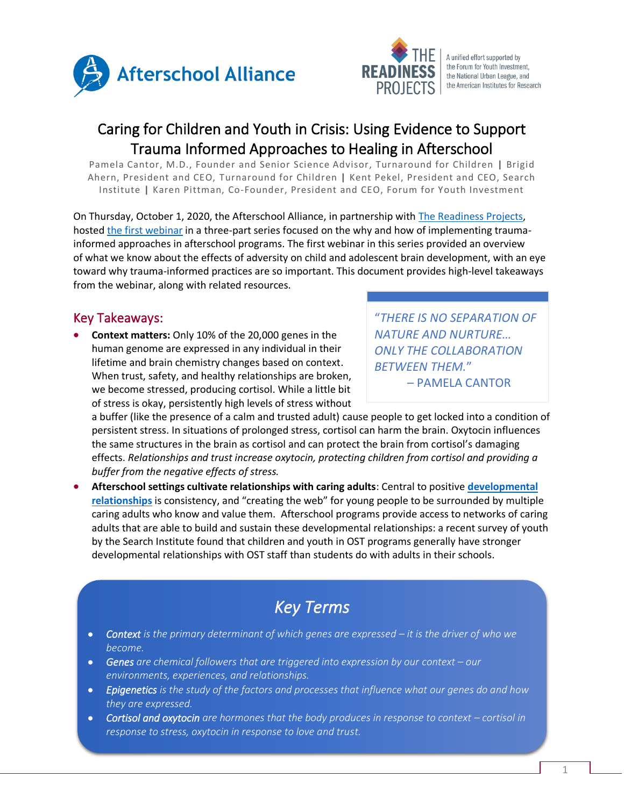



A unified effort supported by the Forum for Youth Investment, the National Urban League, and the American Institutes for Research

## Caring for Children and Youth in Crisis: Using Evidence to Support Trauma Informed Approaches to Healing in Afterschool

Pamela Cantor, M.D., Founder and Senior Science Advisor, Turnaround for Children **|** Brigid Ahern, President and CEO, Turnaround for Children **|** Kent Pekel, President and CEO, Search Institute **|** Karen Pittman, Co-Founder, President and CEO, Forum for Youth Investment

On Thursday, October 1, 2020, the Afterschool Alliance, in partnership wit[h The Readiness Projects,](https://forumfyi.org/the-readiness-projects/) hosted [the first webinar](http://www.afterschoolalliance.org/webinars.cfm?ID=1AE7CDD1-5056-A82E-7AAA133082226F15) in a three-part series focused on the why and how of implementing traumainformed approaches in afterschool programs. The first webinar in this series provided an overview of what we know about the effects of adversity on child and adolescent brain development, with an eye toward why trauma-informed practices are so important. This document provides high-level takeaways from the webinar, along with related resources.

## Key Takeaways:

• **Context matters:** Only 10% of the 20,000 genes in the human genome are expressed in any individual in their lifetime and brain chemistry changes based on context. When trust, safety, and healthy relationships are broken, we become stressed, producing cortisol. While a little bit of stress is okay, persistently high levels of stress without

"*THERE IS NO SEPARATION OF NATURE AND NURTURE… ONLY THE COLLABORATION BETWEEN THEM.*" – PAMELA CANTOR

a buffer (like the presence of a calm and trusted adult) cause people to get locked into a condition of persistent stress. In situations of prolonged stress, cortisol can harm the brain. Oxytocin influences the same structures in the brain as cortisol and can protect the brain from cortisol's damaging effects. *Relationships and trust increase oxytocin, protecting children from cortisol and providing a buffer from the negative effects of stress.* 

• **Afterschool settings cultivate relationships with caring adults**: Central to positive **[developmental](https://www.search-institute.org/developmental-relationships/developmental-relationships-framework/)  [relationships](https://www.search-institute.org/developmental-relationships/developmental-relationships-framework/)** is consistency, and "creating the web" for young people to be surrounded by multiple caring adults who know and value them. Afterschool programs provide access to networks of caring adults that are able to build and sustain these developmental relationships: a recent survey of youth by the Search Institute found that children and youth in OST programs generally have stronger developmental relationships with OST staff than students do with adults in their schools.

# *Key Terms*

- **Context** is the primary determinant of which genes are expressed it is the driver of who we *become.*
- Genes are chemical followers that are triggered into expression by our context our *environments, experiences, and relationships.*
- *Epigenetics is the study of the factors and processes that influence what our genes do and how they are expressed.*
- *Cortisol and oxytocin are hormones that the body produces in response to context cortisol in response to stress, oxytocin in response to love and trust.*